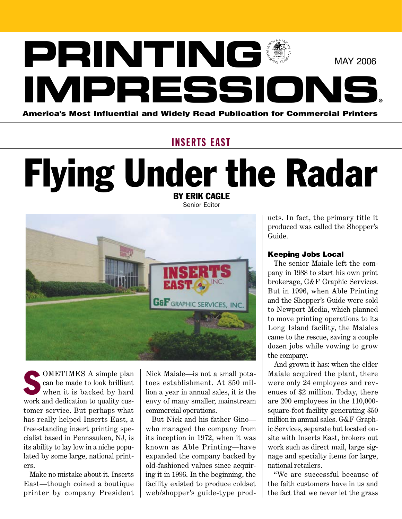# **PRINTING IMPRESSIONS®** America's Most Influential and Widely Read Publication for Commercial Printers MAY 2006

### **INSERTS EAST**

## Flying Under the Radar By Erik Cagle

Senior Editor

**G&F** GRAPHIC SERVICES, INC

**SOMETIMES A simple plan**<br>
can be made to look brilliant<br>
when it is backed by hard can be made to look brilliant when it is backed by hard work and dedication to quality customer service. But perhaps what has really helped Inserts East, a free-standing insert printing specialist based in Pennsauken, NJ, is its ability to lay low in a niche populated by some large, national printers.

Make no mistake about it. Inserts East—though coined a boutique printer by company President

Nick Maiale—is not a small potatoes establishment. At \$50 million a year in annual sales, it is the envy of many smaller, mainstream commercial operations.

But Nick and his father Gino who managed the company from its inception in 1972, when it was known as Able Printing—have expanded the company backed by old-fashioned values since acquiring it in 1996. In the beginning, the facility existed to produce coldset web/shopper's guide-type products. In fact, the primary title it produced was called the Shopper's Guide.

### Keeping Jobs Local

The senior Maiale left the company in 1988 to start his own print brokerage, G&F Graphic Services. But in 1996, when Able Printing and the Shopper's Guide were sold to Newport Media, which planned to move printing operations to its Long Island facility, the Maiales came to the rescue, saving a couple dozen jobs while vowing to grow the company.

And grown it has: when the elder Maiale acquired the plant, there were only 24 employees and revenues of \$2 million. Today, there are 200 employees in the 110,000 square-foot facility generating \$50 million in annual sales. G&F Graphic Services, separate but located onsite with Inserts East, brokers out work such as direct mail, large signage and specialty items for large, national retailers.

"We are successful because of the faith customers have in us and the fact that we never let the grass